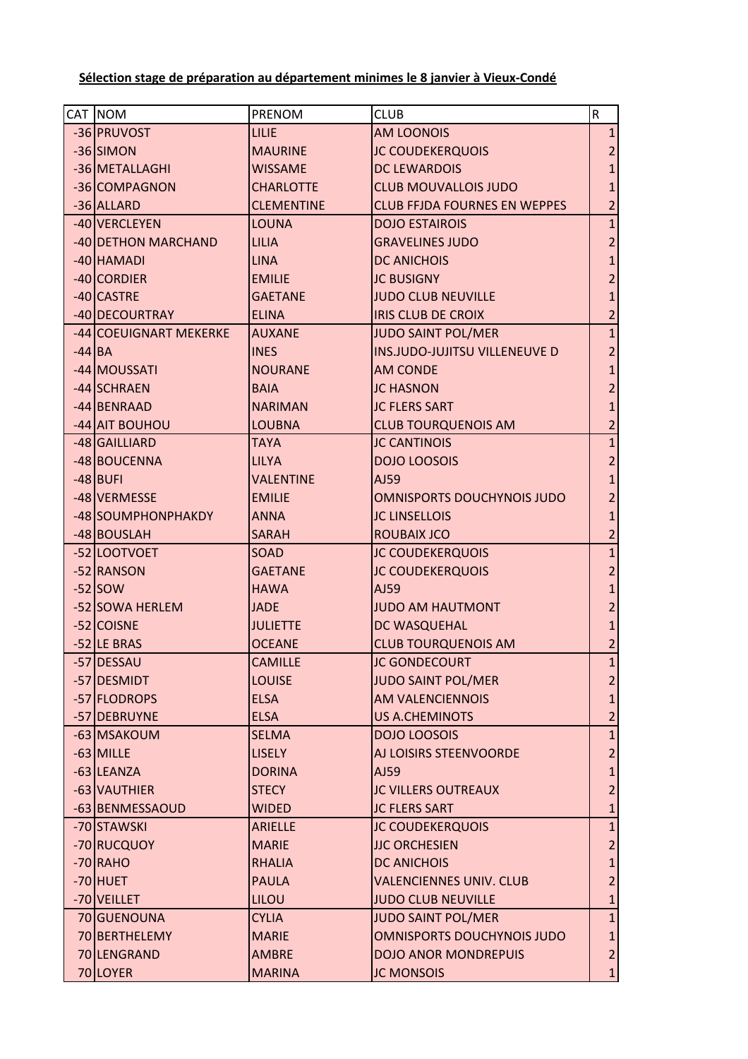**Sélection stage de préparation au département minimes le 8 janvier à Vieux-Condé**

|          | CAT NOM                | PRENOM            | <b>CLUB</b>                          | $\sf R$                 |
|----------|------------------------|-------------------|--------------------------------------|-------------------------|
|          | -36 PRUVOST            | <b>LILIE</b>      | <b>AM LOONOIS</b>                    | 1                       |
|          | -36 SIMON              | <b>MAURINE</b>    | <b>JC COUDEKERQUOIS</b>              | $\overline{\mathbf{c}}$ |
|          | -36 METALLAGHI         | <b>WISSAME</b>    | <b>DC LEWARDOIS</b>                  | $\mathbf{1}$            |
|          | -36 COMPAGNON          | <b>CHARLOTTE</b>  | <b>CLUB MOUVALLOIS JUDO</b>          | $\mathbf{1}$            |
|          | -36 ALLARD             | <b>CLEMENTINE</b> | <b>CLUB FFJDA FOURNES EN WEPPES</b>  | $\overline{c}$          |
|          | -40 VERCLEYEN          | <b>LOUNA</b>      | <b>DOJO ESTAIROIS</b>                | $\overline{1}$          |
|          | -40 DETHON MARCHAND    | <b>LILIA</b>      | <b>GRAVELINES JUDO</b>               | $\overline{c}$          |
|          | -40 HAMADI             | <b>LINA</b>       | <b>DC ANICHOIS</b>                   | $\mathbf{1}$            |
|          | -40 CORDIER            | <b>EMILIE</b>     | <b>JC BUSIGNY</b>                    | $\overline{\mathbf{c}}$ |
|          | -40 CASTRE             | <b>GAETANE</b>    | <b>JUDO CLUB NEUVILLE</b>            | $\mathbf{1}$            |
|          | -40 DECOURTRAY         | <b>ELINA</b>      | <b>IRIS CLUB DE CROIX</b>            | $\overline{c}$          |
|          | -44 COEUIGNART MEKERKE | <b>AUXANE</b>     | <b>JUDO SAINT POL/MER</b>            | $\overline{1}$          |
| $-44$ BA |                        | <b>INES</b>       | <b>INS.JUDO-JUJITSU VILLENEUVE D</b> | $\overline{\mathbf{c}}$ |
|          | -44 MOUSSATI           | <b>NOURANE</b>    | <b>AM CONDE</b>                      | $\mathbf{1}$            |
|          | -44 SCHRAEN            | <b>BAIA</b>       | <b>JC HASNON</b>                     | $\overline{\mathbf{c}}$ |
|          | -44 BENRAAD            | <b>NARIMAN</b>    | <b>JC FLERS SART</b>                 | $\mathbf{1}$            |
|          | -44 AIT BOUHOU         | <b>LOUBNA</b>     | <b>CLUB TOURQUENOIS AM</b>           | $\overline{\mathbf{c}}$ |
|          | -48 GAILLIARD          | <b>TAYA</b>       | <b>JC CANTINOIS</b>                  | $\overline{1}$          |
|          | -48 BOUCENNA           | LILYA             | <b>DOJO LOOSOIS</b>                  | $\overline{\mathbf{c}}$ |
|          | $-48$ BUFI             | <b>VALENTINE</b>  | AJ59                                 | $\mathbf{1}$            |
|          | -48 VERMESSE           | <b>EMILIE</b>     | OMNISPORTS DOUCHYNOIS JUDO           | $\overline{\mathbf{c}}$ |
|          | -48 SOUMPHONPHAKDY     | <b>ANNA</b>       | <b>JC LINSELLOIS</b>                 | $\mathbf{1}$            |
|          | -48 BOUSLAH            | <b>SARAH</b>      | <b>ROUBAIX JCO</b>                   | $\overline{c}$          |
|          | -52 LOOTVOET           | <b>SOAD</b>       | <b>JC COUDEKERQUOIS</b>              | $\overline{1}$          |
|          | -52 RANSON             | <b>GAETANE</b>    | <b>JC COUDEKERQUOIS</b>              | $\overline{a}$          |
|          | $-52$ SOW              | <b>HAWA</b>       | AJ59                                 | $\mathbf{1}$            |
|          | -52 SOWA HERLEM        | <b>JADE</b>       | <b>JUDO AM HAUTMONT</b>              | $\overline{\mathbf{c}}$ |
|          | -52 COISNE             | <b>JULIETTE</b>   | DC WASQUEHAL                         | $\mathbf{1}$            |
|          | -52 LE BRAS            | <b>OCEANE</b>     | <b>CLUB TOURQUENOIS AM</b>           | $\overline{a}$          |
|          | -57 <b>IDESSAU</b>     | <b>CAMILLE</b>    | <b>JC GONDECOURT</b>                 | $\overline{1}$          |
|          | -57 DESMIDT            | <b>LOUISE</b>     | <b>JUDO SAINT POL/MER</b>            | $\overline{2}$          |
|          | -57 FLODROPS           | <b>ELSA</b>       | <b>AM VALENCIENNOIS</b>              | $\mathbf 1$             |
|          | -57 DEBRUYNE           | <b>ELSA</b>       | <b>US A.CHEMINOTS</b>                | $\overline{c}$          |
|          | -63 MSAKOUM            | <b>SELMA</b>      | DOJO LOOSOIS                         | $\overline{1}$          |
|          | $-63$ MILLE            | <b>LISELY</b>     | AJ LOISIRS STEENVOORDE               | $\overline{\mathbf{c}}$ |
|          | -63 LEANZA             | <b>DORINA</b>     | AJ59                                 | $\mathbf{1}$            |
|          | -63 VAUTHIER           | <b>STECY</b>      | <b>JC VILLERS OUTREAUX</b>           | $\overline{c}$          |
|          | -63 BENMESSAOUD        | <b>WIDED</b>      | <b>JC FLERS SART</b>                 | $\mathbf{1}$            |
|          | -70 STAWSKI            | <b>ARIELLE</b>    | <b>JC COUDEKERQUOIS</b>              | $\mathbf{1}$            |
|          | -70 RUCQUOY            | <b>MARIE</b>      | <b>JJC ORCHESIEN</b>                 | $\overline{\mathbf{c}}$ |
|          | $-70$ RAHO             | <b>RHALIA</b>     | <b>DC ANICHOIS</b>                   | $\mathbf{1}$            |
|          | -70 HUET               | <b>PAULA</b>      | <b>VALENCIENNES UNIV. CLUB</b>       | $\overline{c}$          |
|          | -70 VEILLET            | LILOU             | <b>JUDO CLUB NEUVILLE</b>            | $\mathbf{1}$            |
|          | 70 GUENOUNA            | <b>CYLIA</b>      | <b>JUDO SAINT POL/MER</b>            | $\mathbf{1}$            |
|          | 70 BERTHELEMY          | <b>MARIE</b>      | <b>OMNISPORTS DOUCHYNOIS JUDO</b>    | $\mathbf 1$             |
|          | 70 LENGRAND            | <b>AMBRE</b>      | <b>DOJO ANOR MONDREPUIS</b>          | $\overline{c}$          |
|          | 70 LOYER               | <b>MARINA</b>     | <b>JC MONSOIS</b>                    | $\mathbf{1}$            |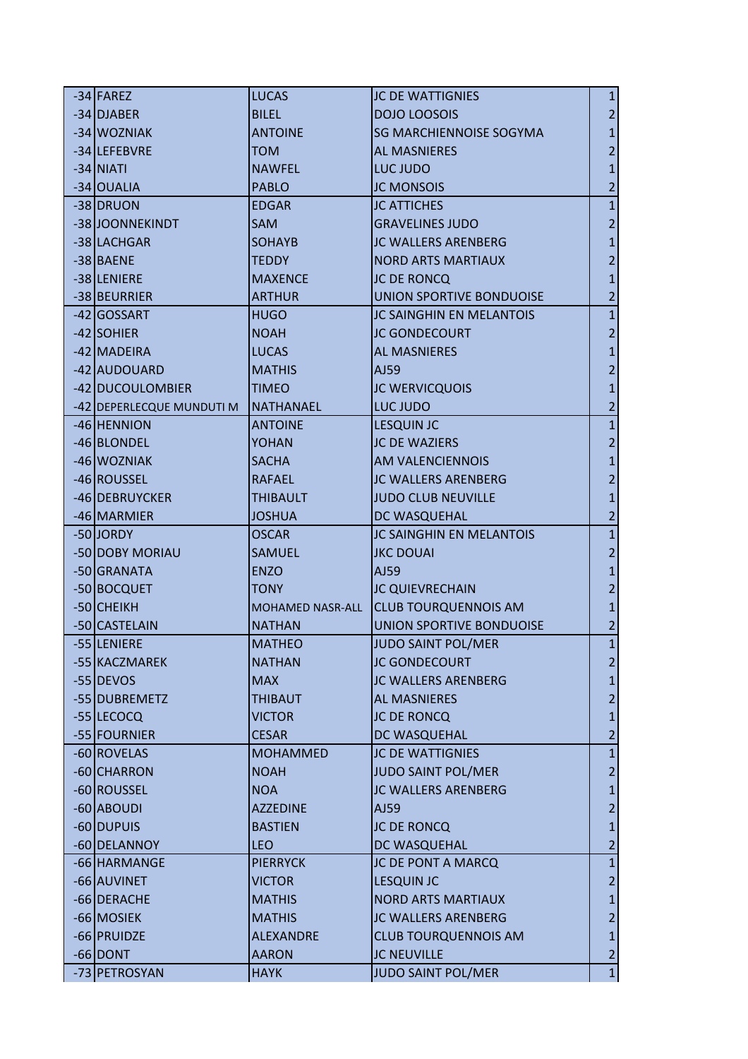| $-34$ FAREZ               | <b>LUCAS</b>            | <b>JC DE WATTIGNIES</b>        | $\mathbf{1}$            |
|---------------------------|-------------------------|--------------------------------|-------------------------|
| -34 DJABER                | <b>BILEL</b>            | <b>DOJO LOOSOIS</b>            | $\overline{2}$          |
| -34 WOZNIAK               | <b>ANTOINE</b>          | <b>SG MARCHIENNOISE SOGYMA</b> | $\mathbf{1}$            |
| -34 LEFEBVRE              | <b>TOM</b>              | <b>AL MASNIERES</b>            | $\overline{a}$          |
| $-34$ NIATI               | <b>NAWFEL</b>           | LUC JUDO                       | $\mathbf{1}$            |
| -34 OUALIA                | <b>PABLO</b>            | <b>JC MONSOIS</b>              | $\overline{\mathbf{c}}$ |
| -38 DRUON                 | <b>EDGAR</b>            | <b>JC ATTICHES</b>             | $\overline{1}$          |
| -38 JOONNEKINDT           | <b>SAM</b>              | <b>GRAVELINES JUDO</b>         | $\overline{a}$          |
| -38 LACHGAR               | <b>SOHAYB</b>           | <b>JC WALLERS ARENBERG</b>     | $\mathbf{1}$            |
| -38 BAENE                 | <b>TEDDY</b>            | <b>NORD ARTS MARTIAUX</b>      | $\overline{c}$          |
| -38 LENIERE               | <b>MAXENCE</b>          | <b>JC DE RONCQ</b>             | $\mathbf{1}$            |
| -38 BEURRIER              | <b>ARTHUR</b>           | UNION SPORTIVE BONDUOISE       | $\overline{a}$          |
| -42 GOSSART               | <b>HUGO</b>             | JC SAINGHIN EN MELANTOIS       | $\overline{1}$          |
| -42 SOHIER                | <b>NOAH</b>             | <b>JC GONDECOURT</b>           | $\overline{c}$          |
| -42 MADEIRA               | <b>LUCAS</b>            | <b>AL MASNIERES</b>            | $\mathbf{1}$            |
| -42 AUDOUARD              | <b>MATHIS</b>           | AJ59                           | $\overline{a}$          |
| -42 DUCOULOMBIER          | <b>TIMEO</b>            | <b>JC WERVICQUOIS</b>          | $\mathbf{1}$            |
| -42 DEPERLECQUE MUNDUTI M | <b>NATHANAEL</b>        | LUC JUDO                       | $\overline{2}$          |
| -46 HENNION               | <b>ANTOINE</b>          | <b>LESQUIN JC</b>              | $\mathbf{1}$            |
| -46 BLONDEL               | YOHAN                   | <b>JC DE WAZIERS</b>           | $\overline{c}$          |
| -46 WOZNIAK               | <b>SACHA</b>            | AM VALENCIENNOIS               | $\mathbf{1}$            |
| -46 ROUSSEL               | <b>RAFAEL</b>           | <b>JC WALLERS ARENBERG</b>     | $\overline{a}$          |
| -46 DEBRUYCKER            | <b>THIBAULT</b>         | <b>JUDO CLUB NEUVILLE</b>      | $\mathbf{1}$            |
| -46 MARMIER               | <b>JOSHUA</b>           | DC WASQUEHAL                   | $\overline{2}$          |
| -50JJORDY                 | <b>OSCAR</b>            | JC SAINGHIN EN MELANTOIS       | $\mathbf{1}$            |
| -50 DOBY MORIAU           | SAMUEL                  | <b>JKC DOUAI</b>               | $\overline{c}$          |
| -50 GRANATA               | <b>ENZO</b>             | AJ59                           | $\mathbf{1}$            |
| -50 BOCQUET               | <b>TONY</b>             | <b>JC QUIEVRECHAIN</b>         | $\overline{\mathbf{c}}$ |
| -50CHEIKH                 | <b>MOHAMED NASR-ALL</b> | <b>CLUB TOURQUENNOIS AM</b>    | $\mathbf{1}$            |
| -50 CASTELAIN             | <b>NATHAN</b>           | UNION SPORTIVE BONDUOISE       | $\overline{c}$          |
| -55 LENIERE               | <b>MATHEO</b>           | JUDO SAINT POL/MER             | $\overline{1}$          |
| -55 KACZMAREK             | <b>NATHAN</b>           | JC GONDECOURT                  | $\overline{a}$          |
| -55 DEVOS                 | <b>MAX</b>              | <b>JC WALLERS ARENBERG</b>     | $\mathbf{1}$            |
| -55 DUBREMETZ             | THIBAUT                 | <b>AL MASNIERES</b>            | $\overline{\mathbf{c}}$ |
| -55 LECOCQ                | <b>VICTOR</b>           | JC DE RONCQ                    | $\mathbf{1}$            |
| -55 FOURNIER              | <b>CESAR</b>            | DC WASQUEHAL                   | $\overline{a}$          |
| -60 ROVELAS               | <b>MOHAMMED</b>         | <b>JC DE WATTIGNIES</b>        | $\overline{1}$          |
| -60 CHARRON               | <b>NOAH</b>             | JUDO SAINT POL/MER             | $\overline{2}$          |
| -60 ROUSSEL               | <b>NOA</b>              | <b>JC WALLERS ARENBERG</b>     | $\mathbf{1}$            |
| -60 ABOUDI                | <b>AZZEDINE</b>         | <b>AJ59</b>                    | $\overline{a}$          |
| -60 DUPUIS                | <b>BASTIEN</b>          | <b>JC DE RONCQ</b>             | $\mathbf{1}$            |
| -60 DELANNOY              | <b>LEO</b>              | DC WASQUEHAL                   | $\overline{2}$          |
| -66 HARMANGE              | <b>PIERRYCK</b>         | JC DE PONT A MARCQ             | $\overline{1}$          |
| -66 AUVINET               | <b>VICTOR</b>           | <b>LESQUIN JC</b>              | $\overline{\mathbf{c}}$ |
| -66 DERACHE               | <b>MATHIS</b>           | <b>NORD ARTS MARTIAUX</b>      | $\mathbf{1}$            |
| -66 MOSIEK                | <b>MATHIS</b>           | <b>JC WALLERS ARENBERG</b>     | $\overline{a}$          |
| -66 PRUIDZE               | <b>ALEXANDRE</b>        | <b>CLUB TOURQUENNOIS AM</b>    | $\mathbf{1}$            |
| $-66$ DONT                | <b>AARON</b>            | <b>JC NEUVILLE</b>             | $\overline{c}$          |
| -73 PETROSYAN             | <b>HAYK</b>             | <b>JUDO SAINT POL/MER</b>      | $\mathbf{1}$            |